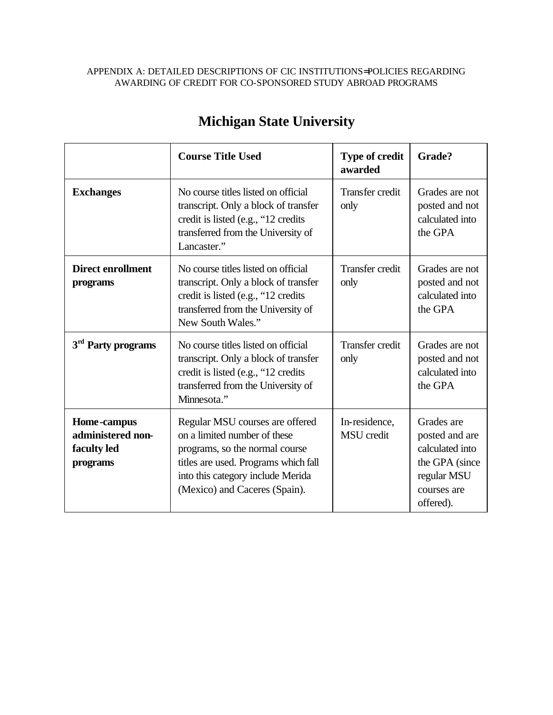|                                                                    | <b>Course Title Used</b>                                                                                                                                                                                        | <b>Type of credit</b><br>awarded   | Grade?                                                                                                       |
|--------------------------------------------------------------------|-----------------------------------------------------------------------------------------------------------------------------------------------------------------------------------------------------------------|------------------------------------|--------------------------------------------------------------------------------------------------------------|
| <b>Exchanges</b>                                                   | No course titles listed on official<br>transcript. Only a block of transfer<br>credit is listed (e.g., "12 credits<br>transferred from the University of<br>Lancaster."                                         | Transfer credit<br>only            | Grades are not<br>posted and not<br>calculated into<br>the GPA                                               |
| <b>Direct enrollment</b><br>programs                               | No course titles listed on official<br>transcript. Only a block of transfer<br>credit is listed (e.g., "12 credits<br>transferred from the University of<br>New South Wales."                                   | <b>Transfer credit</b><br>only     | Grades are not<br>posted and not<br>calculated into<br>the GPA                                               |
| 3 <sup>rd</sup> Party programs                                     | No course titles listed on official<br>transcript. Only a block of transfer<br>credit is listed (e.g., "12 credits<br>transferred from the University of<br>Minnesota."                                         | <b>Transfer credit</b><br>only     | Grades are not<br>posted and not<br>calculated into<br>the GPA                                               |
| <b>Home-campus</b><br>administered non-<br>faculty led<br>programs | Regular MSU courses are offered<br>on a limited number of these<br>programs, so the normal course<br>titles are used. Programs which fall<br>into this category include Merida<br>(Mexico) and Caceres (Spain). | In-residence,<br><b>MSU</b> credit | Grades are<br>posted and are<br>calculated into<br>the GPA (since<br>regular MSU<br>courses are<br>offered). |

# **Michigan State University**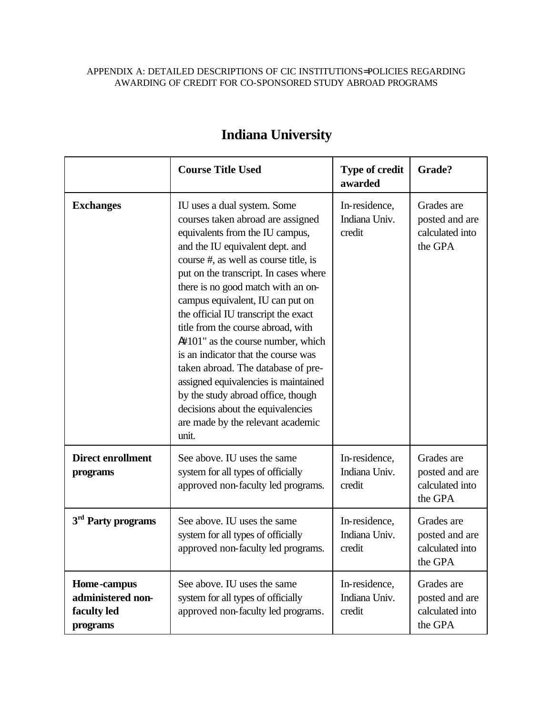|                                                             | <b>Course Title Used</b><br><b>Type of credit</b><br>awarded                                                                                                                                                                                                                                                                                                                                                                                                                                                                                                                                                                                                           |                                          | Grade?                                                     |
|-------------------------------------------------------------|------------------------------------------------------------------------------------------------------------------------------------------------------------------------------------------------------------------------------------------------------------------------------------------------------------------------------------------------------------------------------------------------------------------------------------------------------------------------------------------------------------------------------------------------------------------------------------------------------------------------------------------------------------------------|------------------------------------------|------------------------------------------------------------|
| <b>Exchanges</b>                                            | IU uses a dual system. Some<br>courses taken abroad are assigned<br>equivalents from the IU campus,<br>and the IU equivalent dept. and<br>course #, as well as course title, is<br>put on the transcript. In cases where<br>there is no good match with an on-<br>campus equivalent, IU can put on<br>the official IU transcript the exact<br>title from the course abroad, with<br>$A#101"$ as the course number, which<br>is an indicator that the course was<br>taken abroad. The database of pre-<br>assigned equivalencies is maintained<br>by the study abroad office, though<br>decisions about the equivalencies<br>are made by the relevant academic<br>unit. | In-residence,<br>Indiana Univ.<br>credit | Grades are<br>posted and are<br>calculated into<br>the GPA |
| <b>Direct enrollment</b><br>programs                        | See above. IU uses the same<br>system for all types of officially<br>approved non-faculty led programs.                                                                                                                                                                                                                                                                                                                                                                                                                                                                                                                                                                | In-residence,<br>Indiana Univ.<br>credit | Grades are<br>posted and are<br>calculated into<br>the GPA |
| 3 <sup>rd</sup> Party programs                              | See above. IU uses the same<br>system for all types of officially<br>approved non-faculty led programs.                                                                                                                                                                                                                                                                                                                                                                                                                                                                                                                                                                | In-residence,<br>Indiana Univ.<br>credit | Grades are<br>posted and are<br>calculated into<br>the GPA |
| Home-campus<br>administered non-<br>faculty led<br>programs | See above. IU uses the same<br>system for all types of officially<br>approved non-faculty led programs.                                                                                                                                                                                                                                                                                                                                                                                                                                                                                                                                                                | In-residence,<br>Indiana Univ.<br>credit | Grades are<br>posted and are<br>calculated into<br>the GPA |

# **Indiana University**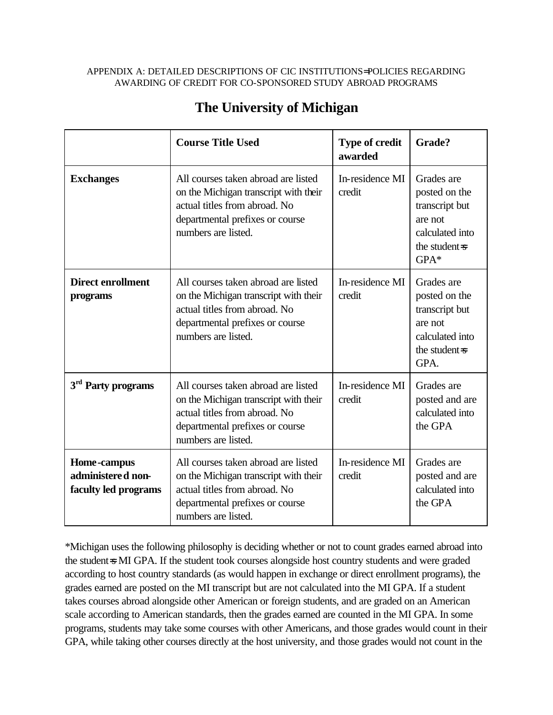|                                                                 | <b>Course Title Used</b>                                                                                                                                                | <b>Type of credit</b><br>awarded                                                        | Grade?                                                                                               |
|-----------------------------------------------------------------|-------------------------------------------------------------------------------------------------------------------------------------------------------------------------|-----------------------------------------------------------------------------------------|------------------------------------------------------------------------------------------------------|
| <b>Exchanges</b>                                                | All courses taken abroad are listed<br>on the Michigan transcript with their<br>actual titles from abroad. No<br>departmental prefixes or course<br>numbers are listed. | In-residence MI<br>credit                                                               | Grades are<br>posted on the<br>transcript but<br>are not<br>calculated into<br>the student=s<br>GPA* |
| <b>Direct enrollment</b><br>programs                            | All courses taken abroad are listed<br>on the Michigan transcript with their<br>actual titles from abroad. No<br>departmental prefixes or course<br>numbers are listed. | In-residence MI<br>credit                                                               | Grades are<br>posted on the<br>transcript but<br>are not<br>calculated into<br>the student=s<br>GPA. |
| 3 <sup>rd</sup> Party programs                                  | All courses taken abroad are listed<br>on the Michigan transcript with their<br>actual titles from abroad. No<br>departmental prefixes or course<br>numbers are listed. | In-residence MI<br>Grades are<br>credit<br>posted and are<br>calculated into<br>the GPA |                                                                                                      |
| <b>Home-campus</b><br>administered non-<br>faculty led programs | All courses taken abroad are listed<br>on the Michigan transcript with their<br>actual titles from abroad. No<br>departmental prefixes or course<br>numbers are listed. | In-residence MI<br>credit                                                               | Grades are<br>posted and are<br>calculated into<br>the GPA                                           |

# **The University of Michigan**

\*Michigan uses the following philosophy is deciding whether or not to count grades earned abroad into the student=s MI GPA. If the student took courses alongside host country students and were graded according to host country standards (as would happen in exchange or direct enrollment programs), the grades earned are posted on the MI transcript but are not calculated into the MI GPA. If a student takes courses abroad alongside other American or foreign students, and are graded on an American scale according to American standards, then the grades earned are counted in the MI GPA. In some programs, students may take some courses with other Americans, and those grades would count in their GPA, while taking other courses directly at the host university, and those grades would not count in the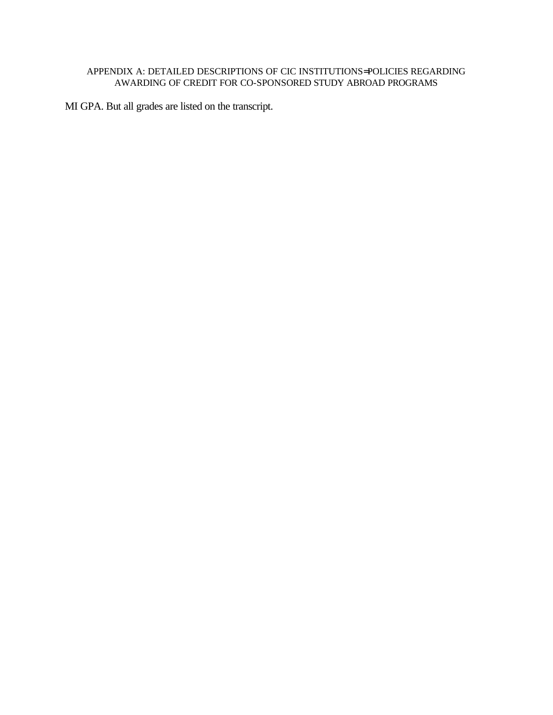MI GPA. But all grades are listed on the transcript.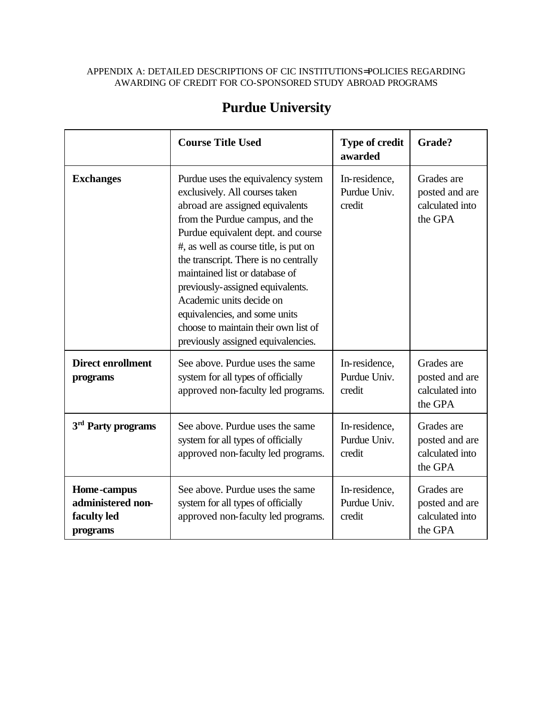|                                                             | <b>Course Title Used</b>                                                                                                                                                                                                                                                                                                                                                                                                                                                            | <b>Type of credit</b><br>awarded        | Grade?                                                     |
|-------------------------------------------------------------|-------------------------------------------------------------------------------------------------------------------------------------------------------------------------------------------------------------------------------------------------------------------------------------------------------------------------------------------------------------------------------------------------------------------------------------------------------------------------------------|-----------------------------------------|------------------------------------------------------------|
| <b>Exchanges</b>                                            | Purdue uses the equivalency system<br>exclusively. All courses taken<br>abroad are assigned equivalents<br>from the Purdue campus, and the<br>Purdue equivalent dept. and course<br>#, as well as course title, is put on<br>the transcript. There is no centrally<br>maintained list or database of<br>previously-assigned equivalents.<br>Academic units decide on<br>equivalencies, and some units<br>choose to maintain their own list of<br>previously assigned equivalencies. | In-residence,<br>Purdue Univ.<br>credit | Grades are<br>posted and are<br>calculated into<br>the GPA |
| <b>Direct enrollment</b><br>programs                        | See above. Purdue uses the same<br>In-residence,<br>Purdue Univ.<br>system for all types of officially<br>approved non-faculty led programs.<br>credit                                                                                                                                                                                                                                                                                                                              |                                         | Grades are<br>posted and are<br>calculated into<br>the GPA |
| 3 <sup>rd</sup> Party programs                              | See above. Purdue uses the same<br>In-residence,<br>Purdue Univ.<br>system for all types of officially<br>approved non-faculty led programs.<br>credit<br>the GPA                                                                                                                                                                                                                                                                                                                   |                                         | Grades are<br>posted and are<br>calculated into            |
| Home-campus<br>administered non-<br>faculty led<br>programs | See above. Purdue uses the same<br>In-residence,<br>Purdue Univ.<br>system for all types of officially<br>approved non-faculty led programs.<br>credit                                                                                                                                                                                                                                                                                                                              |                                         | Grades are<br>posted and are<br>calculated into<br>the GPA |

# **Purdue University**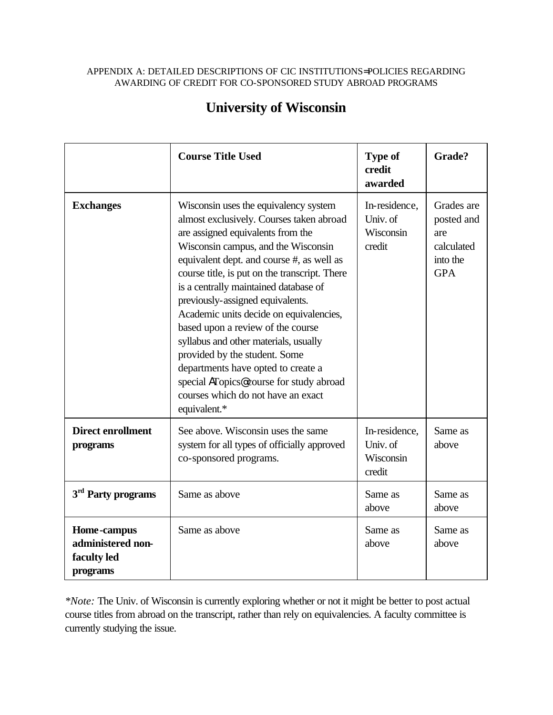|                                                             | <b>Course Title Used</b>                                                                                                                                                                                                                                                                                                                                                                                                                                                                                                                                                                                                                  | <b>Type of</b><br>credit<br>awarded              | Grade?                                                                  |
|-------------------------------------------------------------|-------------------------------------------------------------------------------------------------------------------------------------------------------------------------------------------------------------------------------------------------------------------------------------------------------------------------------------------------------------------------------------------------------------------------------------------------------------------------------------------------------------------------------------------------------------------------------------------------------------------------------------------|--------------------------------------------------|-------------------------------------------------------------------------|
| <b>Exchanges</b>                                            | Wisconsin uses the equivalency system<br>almost exclusively. Courses taken abroad<br>are assigned equivalents from the<br>Wisconsin campus, and the Wisconsin<br>equivalent dept. and course #, as well as<br>course title, is put on the transcript. There<br>is a centrally maintained database of<br>previously-assigned equivalents.<br>Academic units decide on equivalencies,<br>based upon a review of the course<br>syllabus and other materials, usually<br>provided by the student. Some<br>departments have opted to create a<br>special ATopics@course for study abroad<br>courses which do not have an exact<br>equivalent.* | In-residence,<br>Univ. of<br>Wisconsin<br>credit | Grades are<br>posted and<br>are<br>calculated<br>into the<br><b>GPA</b> |
| <b>Direct enrollment</b><br>programs                        | See above. Wisconsin uses the same<br>system for all types of officially approved<br>co-sponsored programs.                                                                                                                                                                                                                                                                                                                                                                                                                                                                                                                               | In-residence,<br>Univ. of<br>Wisconsin<br>credit | Same as<br>above                                                        |
| 3 <sup>rd</sup> Party programs                              | Same as above                                                                                                                                                                                                                                                                                                                                                                                                                                                                                                                                                                                                                             | Same as<br>above                                 | Same as<br>above                                                        |
| Home-campus<br>administered non-<br>faculty led<br>programs | Same as above                                                                                                                                                                                                                                                                                                                                                                                                                                                                                                                                                                                                                             | Same as<br>above                                 | Same as<br>above                                                        |

# **University of Wisconsin**

*\*Note:* The Univ. of Wisconsin is currently exploring whether or not it might be better to post actual course titles from abroad on the transcript, rather than rely on equivalencies. A faculty committee is currently studying the issue.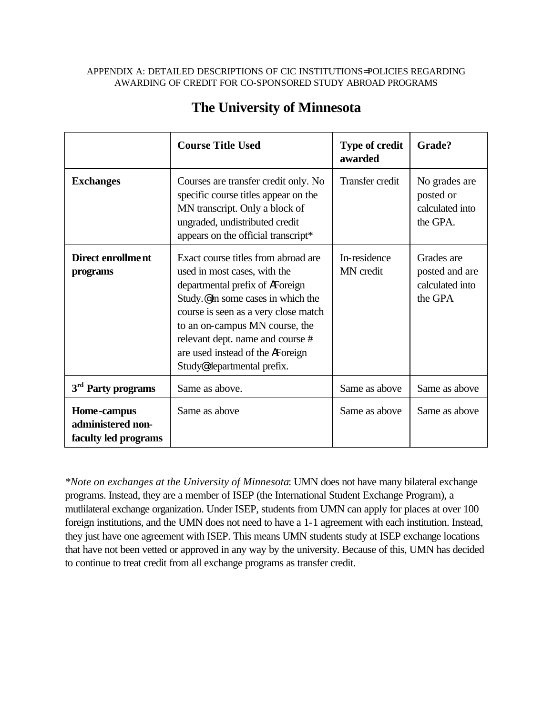|                                                          | <b>Course Title Used</b><br><b>Type of credit</b><br>awarded                                                                                                                                                                                                                                                                                                          |               | Grade?                                                     |
|----------------------------------------------------------|-----------------------------------------------------------------------------------------------------------------------------------------------------------------------------------------------------------------------------------------------------------------------------------------------------------------------------------------------------------------------|---------------|------------------------------------------------------------|
| <b>Exchanges</b>                                         | Transfer credit<br>Courses are transfer credit only. No<br>specific course titles appear on the<br>posted or<br>MN transcript. Only a block of<br>ungraded, undistributed credit<br>the GPA.<br>appears on the official transcript*                                                                                                                                   |               | No grades are<br>calculated into                           |
| Direct enrollment<br>programs                            | In-residence<br>Exact course titles from abroad are<br>MN credit<br>used in most cases, with the<br>departmental prefix of AForeign<br>Study. <sup>@</sup> In some cases in which the<br>course is seen as a very close match<br>to an on-campus MN course, the<br>relevant dept. name and course #<br>are used instead of the AForeign<br>Study@departmental prefix. |               | Grades are<br>posted and are<br>calculated into<br>the GPA |
| 3 <sup>rd</sup> Party programs                           | Same as above.                                                                                                                                                                                                                                                                                                                                                        | Same as above | Same as above                                              |
| Home-campus<br>administered non-<br>faculty led programs | Same as above                                                                                                                                                                                                                                                                                                                                                         | Same as above | Same as above                                              |

# **The University of Minnesota**

*\*Note on exchanges at the University of Minnesota*: UMN does not have many bilateral exchange programs. Instead, they are a member of ISEP (the International Student Exchange Program), a mutlilateral exchange organization. Under ISEP, students from UMN can apply for places at over 100 foreign institutions, and the UMN does not need to have a 1-1 agreement with each institution. Instead, they just have one agreement with ISEP. This means UMN students study at ISEP exchange locations that have not been vetted or approved in any way by the university. Because of this, UMN has decided to continue to treat credit from all exchange programs as transfer credit.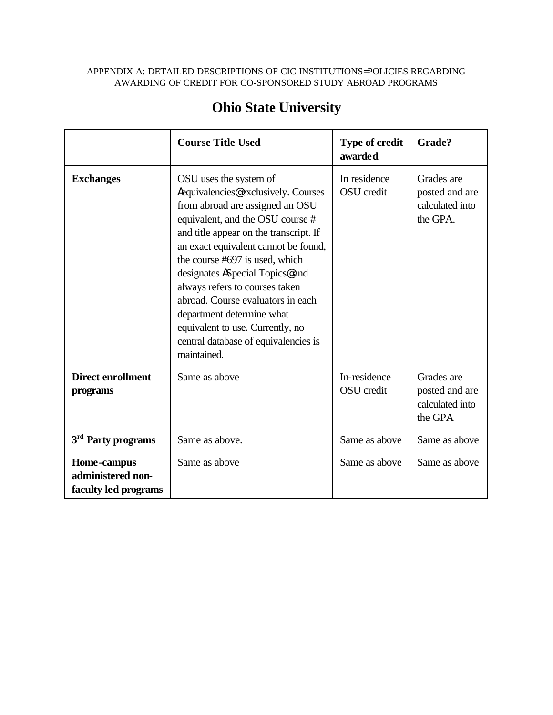|                                                                 | <b>Course Title Used</b><br><b>Type of credit</b><br>awarded                                                                                                                                                                                                                                                                                                                                                                                                                               |                                                                                          | Grade?                                                      |
|-----------------------------------------------------------------|--------------------------------------------------------------------------------------------------------------------------------------------------------------------------------------------------------------------------------------------------------------------------------------------------------------------------------------------------------------------------------------------------------------------------------------------------------------------------------------------|------------------------------------------------------------------------------------------|-------------------------------------------------------------|
| <b>Exchanges</b>                                                | OSU uses the system of<br>Aequivalencies@exclusively. Courses<br>from abroad are assigned an OSU<br>equivalent, and the OSU course #<br>and title appear on the transcript. If<br>an exact equivalent cannot be found,<br>the course #697 is used, which<br>designates ASpecial Topics@ and<br>always refers to courses taken<br>abroad. Course evaluators in each<br>department determine what<br>equivalent to use. Currently, no<br>central database of equivalencies is<br>maintained. | In residence<br><b>OSU</b> credit                                                        | Grades are<br>posted and are<br>calculated into<br>the GPA. |
| <b>Direct enrollment</b><br>programs                            | Same as above                                                                                                                                                                                                                                                                                                                                                                                                                                                                              | In-residence<br>Grades are<br>OSU credit<br>posted and are<br>calculated into<br>the GPA |                                                             |
| 3 <sup>rd</sup> Party programs                                  | Same as above.                                                                                                                                                                                                                                                                                                                                                                                                                                                                             | Same as above                                                                            | Same as above                                               |
| <b>Home-campus</b><br>administered non-<br>faculty led programs | Same as above                                                                                                                                                                                                                                                                                                                                                                                                                                                                              | Same as above                                                                            | Same as above                                               |

# **Ohio State University**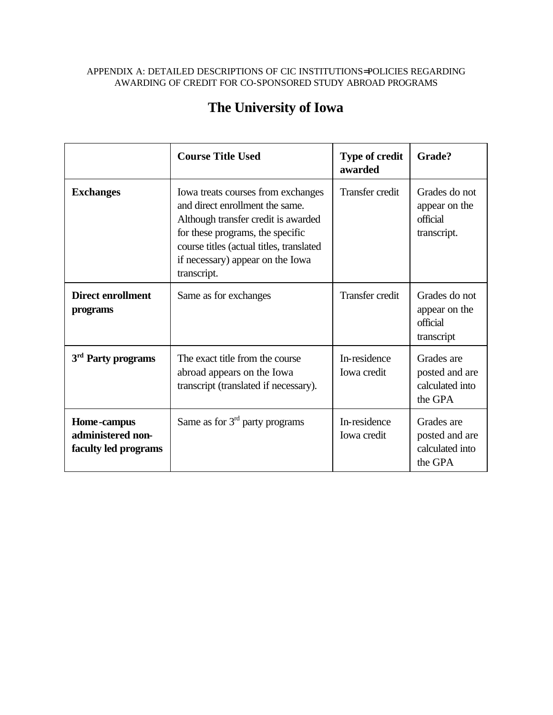|                                                                                                                                          | <b>Course Title Used</b>                                                                                                                                                                                                                                                  | <b>Type of credit</b><br>awarded | Grade?                                                     |
|------------------------------------------------------------------------------------------------------------------------------------------|---------------------------------------------------------------------------------------------------------------------------------------------------------------------------------------------------------------------------------------------------------------------------|----------------------------------|------------------------------------------------------------|
| <b>Exchanges</b>                                                                                                                         | <b>Transfer credit</b><br>Iowa treats courses from exchanges<br>and direct enrollment the same.<br>Although transfer credit is awarded<br>for these programs, the specific<br>course titles (actual titles, translated<br>if necessary) appear on the Iowa<br>transcript. |                                  | Grades do not<br>appear on the<br>official<br>transcript.  |
| <b>Direct enrollment</b><br>programs                                                                                                     | Same as for exchanges                                                                                                                                                                                                                                                     | <b>Transfer credit</b>           | Grades do not<br>appear on the<br>official<br>transcript   |
| 3 <sup>rd</sup> Party programs<br>The exact title from the course<br>abroad appears on the Iowa<br>transcript (translated if necessary). |                                                                                                                                                                                                                                                                           | In-residence<br>Iowa credit      | Grades are<br>posted and are<br>calculated into<br>the GPA |
| Home-campus<br>administered non-<br>faculty led programs                                                                                 | Same as for $3rd$ party programs                                                                                                                                                                                                                                          | In-residence<br>Iowa credit      | Grades are<br>posted and are<br>calculated into<br>the GPA |

# **The University of Iowa**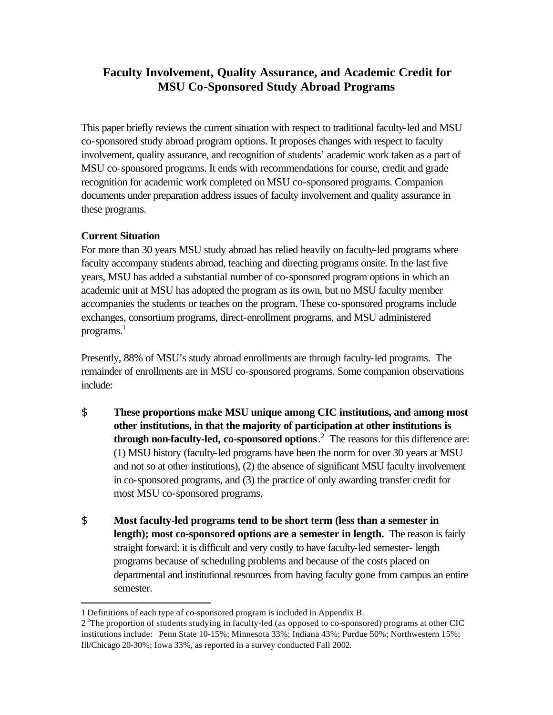# **Faculty Involvement, Quality Assurance, and Academic Credit for MSU Co-Sponsored Study Abroad Programs**

This paper briefly reviews the current situation with respect to traditional faculty-led and MSU co-sponsored study abroad program options. It proposes changes with respect to faculty involvement, quality assurance, and recognition of students' academic work taken as a part of MSU co-sponsored programs. It ends with recommendations for course, credit and grade recognition for academic work completed on MSU co-sponsored programs. Companion documents under preparation address issues of faculty involvement and quality assurance in these programs.

# **Current Situation**

l

For more than 30 years MSU study abroad has relied heavily on faculty-led programs where faculty accompany students abroad, teaching and directing programs onsite. In the last five years, MSU has added a substantial number of co-sponsored program options in which an academic unit at MSU has adopted the program as its own, but no MSU faculty member accompanies the students or teaches on the program. These co-sponsored programs include exchanges, consortium programs, direct-enrollment programs, and MSU administered programs. $<sup>1</sup>$ </sup>

Presently, 88% of MSU's study abroad enrollments are through faculty-led programs. The remainder of enrollments are in MSU co-sponsored programs. Some companion observations include:

- \$ **These proportions make MSU unique among CIC institutions, and among most other institutions, in that the majority of participation at other institutions is through non-faculty-led, co-sponsored options**. 2 The reasons for this difference are: (1) MSU history (faculty-led programs have been the norm for over 30 years at MSU and not so at other institutions), (2) the absence of significant MSU faculty involvement in co-sponsored programs, and (3) the practice of only awarding transfer credit for most MSU co-sponsored programs.
- \$ **Most faculty-led programs tend to be short term (less than a semester in length); most co-sponsored options are a semester in length.** The reason is fairly straight forward: it is difficult and very costly to have faculty-led semester- length programs because of scheduling problems and because of the costs placed on departmental and institutional resources from having faculty gone from campus an entire semester.

<sup>1</sup> Definitions of each type of co-sponsored program is included in Appendix B.

<sup>2&</sup>lt;sup>2</sup>The proportion of students studying in faculty-led (as opposed to co-sponsored) programs at other CIC institutions include: Penn State 10-15%; Minnesota 33%; Indiana 43%; Purdue 50%; Northwestern 15%; Ill/Chicago 20-30%; Iowa 33%, as reported in a survey conducted Fall 2002.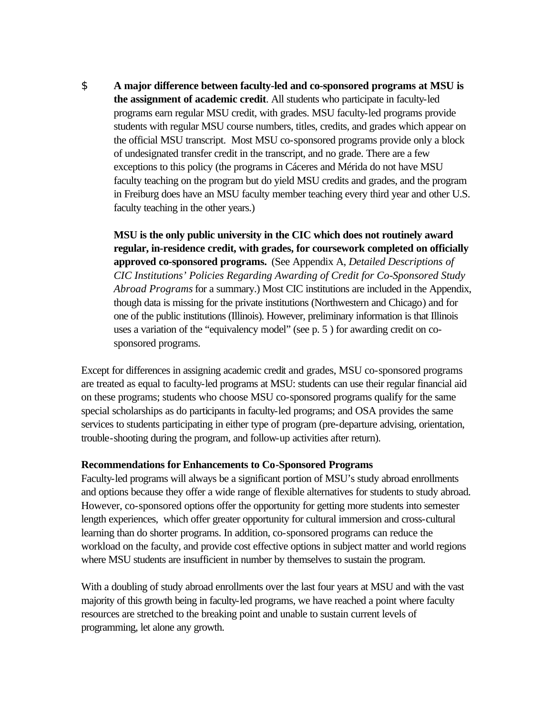\$ **A major difference between faculty-led and co-sponsored programs at MSU is the assignment of academic credit**. All students who participate in faculty-led programs earn regular MSU credit, with grades. MSU faculty-led programs provide students with regular MSU course numbers, titles, credits, and grades which appear on the official MSU transcript. Most MSU co-sponsored programs provide only a block of undesignated transfer credit in the transcript, and no grade. There are a few exceptions to this policy (the programs in Cáceres and Mérida do not have MSU faculty teaching on the program but do yield MSU credits and grades, and the program in Freiburg does have an MSU faculty member teaching every third year and other U.S. faculty teaching in the other years.)

**MSU is the only public university in the CIC which does not routinely award regular, in-residence credit, with grades, for coursework completed on officially approved co-sponsored programs.** (See Appendix A, *Detailed Descriptions of CIC Institutions' Policies Regarding Awarding of Credit for Co-Sponsored Study Abroad Programs* for a summary.) Most CIC institutions are included in the Appendix, though data is missing for the private institutions (Northwestern and Chicago) and for one of the public institutions (Illinois). However, preliminary information is that Illinois uses a variation of the "equivalency model" (see p. 5 ) for awarding credit on cosponsored programs.

Except for differences in assigning academic credit and grades, MSU co-sponsored programs are treated as equal to faculty-led programs at MSU: students can use their regular financial aid on these programs; students who choose MSU co-sponsored programs qualify for the same special scholarships as do participants in faculty-led programs; and OSA provides the same services to students participating in either type of program (pre-departure advising, orientation, trouble-shooting during the program, and follow-up activities after return).

#### **Recommendations for Enhancements to Co-Sponsored Programs**

Faculty-led programs will always be a significant portion of MSU's study abroad enrollments and options because they offer a wide range of flexible alternatives for students to study abroad. However, co-sponsored options offer the opportunity for getting more students into semester length experiences, which offer greater opportunity for cultural immersion and cross-cultural learning than do shorter programs. In addition, co-sponsored programs can reduce the workload on the faculty, and provide cost effective options in subject matter and world regions where MSU students are insufficient in number by themselves to sustain the program.

With a doubling of study abroad enrollments over the last four years at MSU and with the vast majority of this growth being in faculty-led programs, we have reached a point where faculty resources are stretched to the breaking point and unable to sustain current levels of programming, let alone any growth.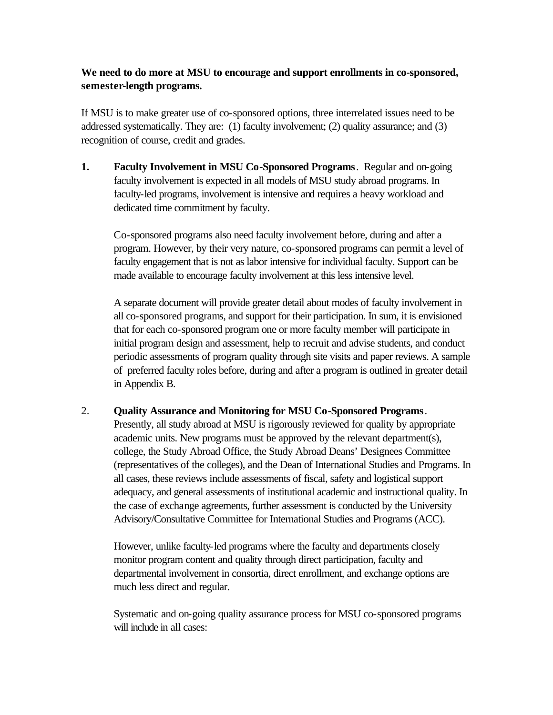# **We need to do more at MSU to encourage and support enrollments in co-sponsored, semester-length programs.**

If MSU is to make greater use of co-sponsored options, three interrelated issues need to be addressed systematically. They are: (1) faculty involvement; (2) quality assurance; and (3) recognition of course, credit and grades.

**1. Faculty Involvement in MSU Co-Sponsored Programs**. Regular and on-going faculty involvement is expected in all models of MSU study abroad programs. In faculty-led programs, involvement is intensive and requires a heavy workload and dedicated time commitment by faculty.

Co-sponsored programs also need faculty involvement before, during and after a program. However, by their very nature, co-sponsored programs can permit a level of faculty engagement that is not as labor intensive for individual faculty. Support can be made available to encourage faculty involvement at this less intensive level.

A separate document will provide greater detail about modes of faculty involvement in all co-sponsored programs, and support for their participation. In sum, it is envisioned that for each co-sponsored program one or more faculty member will participate in initial program design and assessment, help to recruit and advise students, and conduct periodic assessments of program quality through site visits and paper reviews. A sample of preferred faculty roles before, during and after a program is outlined in greater detail in Appendix B.

# 2. **Quality Assurance and Monitoring for MSU Co-Sponsored Programs**.

Presently, all study abroad at MSU is rigorously reviewed for quality by appropriate academic units. New programs must be approved by the relevant department(s), college, the Study Abroad Office, the Study Abroad Deans' Designees Committee (representatives of the colleges), and the Dean of International Studies and Programs. In all cases, these reviews include assessments of fiscal, safety and logistical support adequacy, and general assessments of institutional academic and instructional quality. In the case of exchange agreements, further assessment is conducted by the University Advisory/Consultative Committee for International Studies and Programs (ACC).

However, unlike faculty-led programs where the faculty and departments closely monitor program content and quality through direct participation, faculty and departmental involvement in consortia, direct enrollment, and exchange options are much less direct and regular.

Systematic and on-going quality assurance process for MSU co-sponsored programs will include in all cases: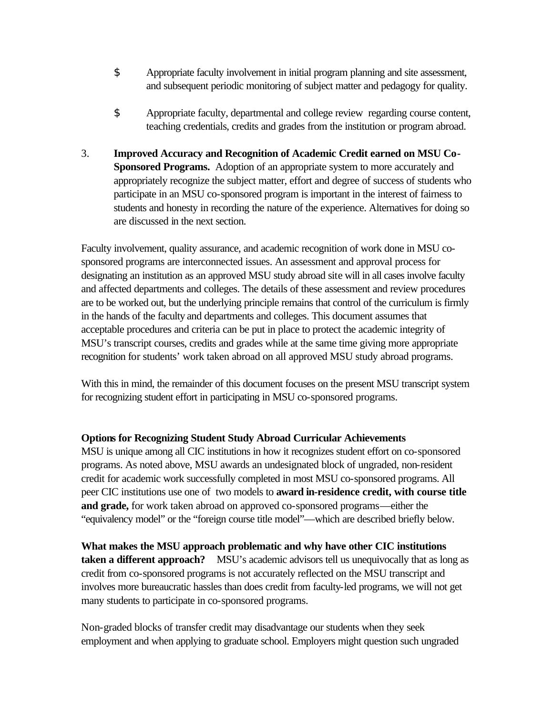- \$ Appropriate faculty involvement in initial program planning and site assessment, and subsequent periodic monitoring of subject matter and pedagogy for quality.
- \$ Appropriate faculty, departmental and college review regarding course content, teaching credentials, credits and grades from the institution or program abroad.
- 3. **Improved Accuracy and Recognition of Academic Credit earned on MSU Co-Sponsored Programs.** Adoption of an appropriate system to more accurately and appropriately recognize the subject matter, effort and degree of success of students who participate in an MSU co-sponsored program is important in the interest of fairness to students and honesty in recording the nature of the experience. Alternatives for doing so are discussed in the next section.

Faculty involvement, quality assurance, and academic recognition of work done in MSU cosponsored programs are interconnected issues. An assessment and approval process for designating an institution as an approved MSU study abroad site will in all cases involve faculty and affected departments and colleges. The details of these assessment and review procedures are to be worked out, but the underlying principle remains that control of the curriculum is firmly in the hands of the faculty and departments and colleges. This document assumes that acceptable procedures and criteria can be put in place to protect the academic integrity of MSU's transcript courses, credits and grades while at the same time giving more appropriate recognition for students' work taken abroad on all approved MSU study abroad programs.

With this in mind, the remainder of this document focuses on the present MSU transcript system for recognizing student effort in participating in MSU co-sponsored programs.

# **Options for Recognizing Student Study Abroad Curricular Achievements**

MSU is unique among all CIC institutions in how it recognizes student effort on co-sponsored programs. As noted above, MSU awards an undesignated block of ungraded, non-resident credit for academic work successfully completed in most MSU co-sponsored programs. All peer CIC institutions use one of two models to **award in-residence credit, with course title and grade,** for work taken abroad on approved co-sponsored programs—either the "equivalency model" or the "foreign course title model"—which are described briefly below.

**What makes the MSU approach problematic and why have other CIC institutions taken a different approach?** MSU's academic advisors tell us unequivocally that as long as credit from co-sponsored programs is not accurately reflected on the MSU transcript and involves more bureaucratic hassles than does credit from faculty-led programs, we will not get many students to participate in co-sponsored programs.

Non-graded blocks of transfer credit may disadvantage our students when they seek employment and when applying to graduate school. Employers might question such ungraded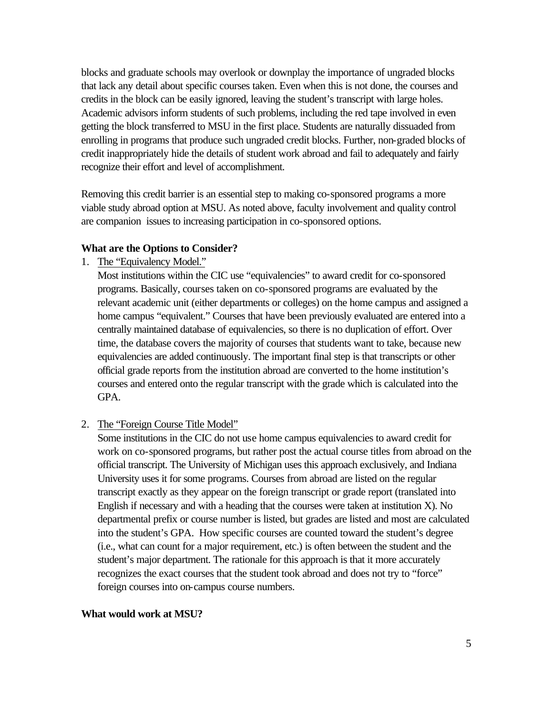blocks and graduate schools may overlook or downplay the importance of ungraded blocks that lack any detail about specific courses taken. Even when this is not done, the courses and credits in the block can be easily ignored, leaving the student's transcript with large holes. Academic advisors inform students of such problems, including the red tape involved in even getting the block transferred to MSU in the first place. Students are naturally dissuaded from enrolling in programs that produce such ungraded credit blocks. Further, non-graded blocks of credit inappropriately hide the details of student work abroad and fail to adequately and fairly recognize their effort and level of accomplishment.

Removing this credit barrier is an essential step to making co-sponsored programs a more viable study abroad option at MSU. As noted above, faculty involvement and quality control are companion issues to increasing participation in co-sponsored options.

#### **What are the Options to Consider?**

1. The "Equivalency Model."

Most institutions within the CIC use "equivalencies" to award credit for co-sponsored programs. Basically, courses taken on co-sponsored programs are evaluated by the relevant academic unit (either departments or colleges) on the home campus and assigned a home campus "equivalent." Courses that have been previously evaluated are entered into a centrally maintained database of equivalencies, so there is no duplication of effort. Over time, the database covers the majority of courses that students want to take, because new equivalencies are added continuously. The important final step is that transcripts or other official grade reports from the institution abroad are converted to the home institution's courses and entered onto the regular transcript with the grade which is calculated into the GPA.

2. The "Foreign Course Title Model"

Some institutions in the CIC do not use home campus equivalencies to award credit for work on co-sponsored programs, but rather post the actual course titles from abroad on the official transcript. The University of Michigan uses this approach exclusively, and Indiana University uses it for some programs. Courses from abroad are listed on the regular transcript exactly as they appear on the foreign transcript or grade report (translated into English if necessary and with a heading that the courses were taken at institution X). No departmental prefix or course number is listed, but grades are listed and most are calculated into the student's GPA. How specific courses are counted toward the student's degree (i.e., what can count for a major requirement, etc.) is often between the student and the student's major department. The rationale for this approach is that it more accurately recognizes the exact courses that the student took abroad and does not try to "force" foreign courses into on-campus course numbers.

#### **What would work at MSU?**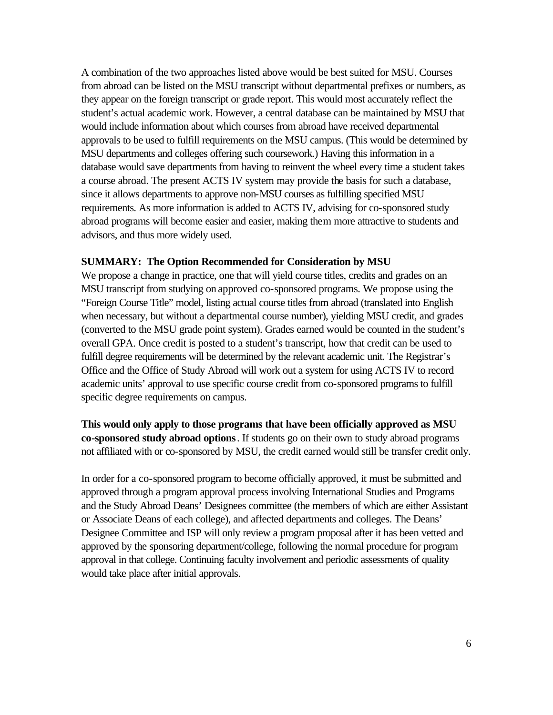A combination of the two approaches listed above would be best suited for MSU. Courses from abroad can be listed on the MSU transcript without departmental prefixes or numbers, as they appear on the foreign transcript or grade report. This would most accurately reflect the student's actual academic work. However, a central database can be maintained by MSU that would include information about which courses from abroad have received departmental approvals to be used to fulfill requirements on the MSU campus. (This would be determined by MSU departments and colleges offering such coursework.) Having this information in a database would save departments from having to reinvent the wheel every time a student takes a course abroad. The present ACTS IV system may provide the basis for such a database, since it allows departments to approve non-MSU courses as fulfilling specified MSU requirements. As more information is added to ACTS IV, advising for co-sponsored study abroad programs will become easier and easier, making them more attractive to students and advisors, and thus more widely used.

#### **SUMMARY: The Option Recommended for Consideration by MSU**

We propose a change in practice, one that will yield course titles, credits and grades on an MSU transcript from studying on approved co-sponsored programs. We propose using the "Foreign Course Title" model, listing actual course titles from abroad (translated into English when necessary, but without a departmental course number), yielding MSU credit, and grades (converted to the MSU grade point system). Grades earned would be counted in the student's overall GPA. Once credit is posted to a student's transcript, how that credit can be used to fulfill degree requirements will be determined by the relevant academic unit. The Registrar's Office and the Office of Study Abroad will work out a system for using ACTS IV to record academic units' approval to use specific course credit from co-sponsored programs to fulfill specific degree requirements on campus.

**This would only apply to those programs that have been officially approved as MSU co-sponsored study abroad options**. If students go on their own to study abroad programs not affiliated with or co-sponsored by MSU, the credit earned would still be transfer credit only.

In order for a co-sponsored program to become officially approved, it must be submitted and approved through a program approval process involving International Studies and Programs and the Study Abroad Deans' Designees committee (the members of which are either Assistant or Associate Deans of each college), and affected departments and colleges. The Deans' Designee Committee and ISP will only review a program proposal after it has been vetted and approved by the sponsoring department/college, following the normal procedure for program approval in that college. Continuing faculty involvement and periodic assessments of quality would take place after initial approvals.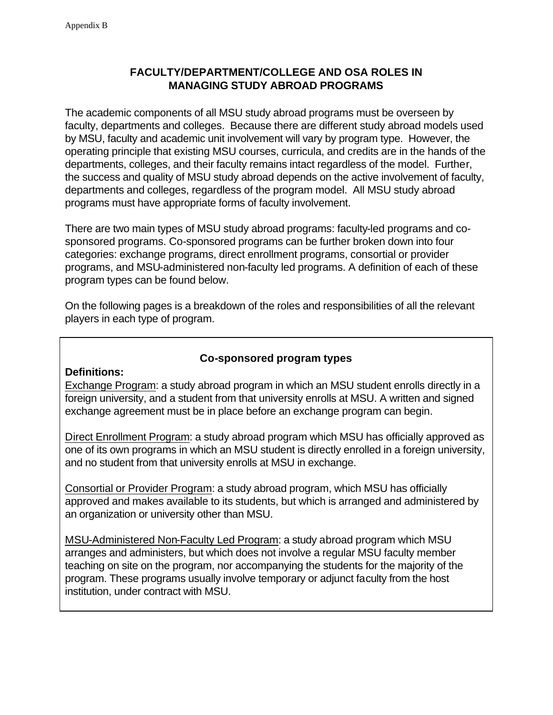# **FACULTY/DEPARTMENT/COLLEGE AND OSA ROLES IN MANAGING STUDY ABROAD PROGRAMS**

The academic components of all MSU study abroad programs must be overseen by faculty, departments and colleges. Because there are different study abroad models used by MSU, faculty and academic unit involvement will vary by program type. However, the operating principle that existing MSU courses, curricula, and credits are in the hands of the departments, colleges, and their faculty remains intact regardless of the model. Further, the success and quality of MSU study abroad depends on the active involvement of faculty, departments and colleges, regardless of the program model. All MSU study abroad programs must have appropriate forms of faculty involvement.

There are two main types of MSU study abroad programs: faculty-led programs and cosponsored programs. Co-sponsored programs can be further broken down into four categories: exchange programs, direct enrollment programs, consortial or provider programs, and MSU-administered non-faculty led programs. A definition of each of these program types can be found below.

On the following pages is a breakdown of the roles and responsibilities of all the relevant players in each type of program.

# **Co-sponsored program types**

# **Definitions:**

Exchange Program: a study abroad program in which an MSU student enrolls directly in a foreign university, and a student from that university enrolls at MSU. A written and signed exchange agreement must be in place before an exchange program can begin.

Direct Enrollment Program: a study abroad program which MSU has officially approved as one of its own programs in which an MSU student is directly enrolled in a foreign university, and no student from that university enrolls at MSU in exchange.

Consortial or Provider Program: a study abroad program, which MSU has officially approved and makes available to its students, but which is arranged and administered by an organization or university other than MSU.

MSU-Administered Non-Faculty Led Program: a study abroad program which MSU arranges and administers, but which does not involve a regular MSU faculty member teaching on site on the program, nor accompanying the students for the majority of the program. These programs usually involve temporary or adjunct faculty from the host institution, under contract with MSU.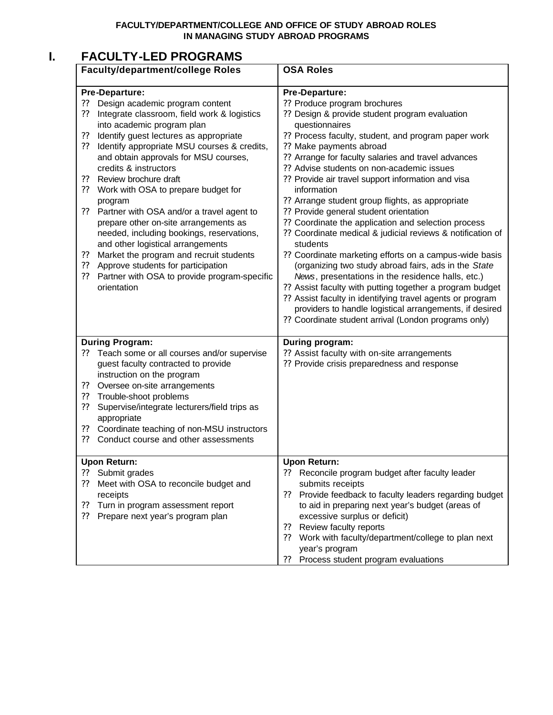#### **FACULTY/DEPARTMENT/COLLEGE AND OFFICE OF STUDY ABROAD ROLES IN MANAGING STUDY ABROAD PROGRAMS**

# **I. FACULTY-LED PROGRAMS**

| <b>Faculty/department/college Roles</b>                                                                                                                                                                                                                                                                                                                                                                                                                                                                                                                                                                                                                                                                                                                         | <b>OSA Roles</b>                                                                                                                                                                                                                                                                                                                                                                                                                                                                                                                                                                                                                                                                                                                                                                                                                                                                                                                                                                                                                       |
|-----------------------------------------------------------------------------------------------------------------------------------------------------------------------------------------------------------------------------------------------------------------------------------------------------------------------------------------------------------------------------------------------------------------------------------------------------------------------------------------------------------------------------------------------------------------------------------------------------------------------------------------------------------------------------------------------------------------------------------------------------------------|----------------------------------------------------------------------------------------------------------------------------------------------------------------------------------------------------------------------------------------------------------------------------------------------------------------------------------------------------------------------------------------------------------------------------------------------------------------------------------------------------------------------------------------------------------------------------------------------------------------------------------------------------------------------------------------------------------------------------------------------------------------------------------------------------------------------------------------------------------------------------------------------------------------------------------------------------------------------------------------------------------------------------------------|
| <b>Pre-Departure:</b><br>Design academic program content<br>??<br>??<br>Integrate classroom, field work & logistics<br>into academic program plan<br>Identify guest lectures as appropriate<br>??<br>Identify appropriate MSU courses & credits,<br>??<br>and obtain approvals for MSU courses,<br>credits & instructors<br>Review brochure draft<br>??<br>??<br>Work with OSA to prepare budget for<br>program<br>??<br>Partner with OSA and/or a travel agent to<br>prepare other on-site arrangements as<br>needed, including bookings, reservations,<br>and other logistical arrangements<br>Market the program and recruit students<br>??<br>Approve students for participation<br>??<br>Partner with OSA to provide program-specific<br>??<br>orientation | <b>Pre-Departure:</b><br>?? Produce program brochures<br>?? Design & provide student program evaluation<br>questionnaires<br>?? Process faculty, student, and program paper work<br>?? Make payments abroad<br>?? Arrange for faculty salaries and travel advances<br>?? Advise students on non-academic issues<br>?? Provide air travel support information and visa<br>information<br>?? Arrange student group flights, as appropriate<br>?? Provide general student orientation<br>?? Coordinate the application and selection process<br>?? Coordinate medical & judicial reviews & notification of<br>students<br>?? Coordinate marketing efforts on a campus-wide basis<br>(organizing two study abroad fairs, ads in the State<br>News, presentations in the residence halls, etc.)<br>?? Assist faculty with putting together a program budget<br>?? Assist faculty in identifying travel agents or program<br>providers to handle logistical arrangements, if desired<br>?? Coordinate student arrival (London programs only) |
| <b>During Program:</b><br>Teach some or all courses and/or supervise<br>??<br>guest faculty contracted to provide<br>instruction on the program<br>Oversee on-site arrangements<br>??<br>Trouble-shoot problems<br>??<br>??<br>Supervise/integrate lecturers/field trips as<br>appropriate<br>Coordinate teaching of non-MSU instructors<br>??<br>Conduct course and other assessments<br>??                                                                                                                                                                                                                                                                                                                                                                    | During program:<br>?? Assist faculty with on-site arrangements<br>?? Provide crisis preparedness and response                                                                                                                                                                                                                                                                                                                                                                                                                                                                                                                                                                                                                                                                                                                                                                                                                                                                                                                          |
| <b>Upon Return:</b><br>Submit grades<br>??<br>Meet with OSA to reconcile budget and<br>??<br>receipts<br>Turn in program assessment report<br>??<br>22<br>Prepare next year's program plan                                                                                                                                                                                                                                                                                                                                                                                                                                                                                                                                                                      | <b>Upon Return:</b><br>Reconcile program budget after faculty leader<br>??<br>submits receipts<br>Provide feedback to faculty leaders regarding budget<br>??<br>to aid in preparing next year's budget (areas of<br>excessive surplus or deficit)<br>Review faculty reports<br>22<br>Work with faculty/department/college to plan next<br>??<br>year's program<br>Process student program evaluations<br>??                                                                                                                                                                                                                                                                                                                                                                                                                                                                                                                                                                                                                            |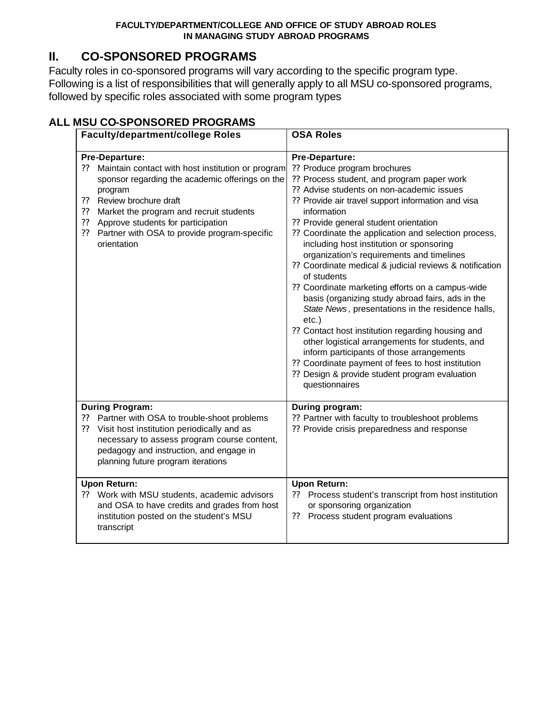### **FACULTY/DEPARTMENT/COLLEGE AND OFFICE OF STUDY ABROAD ROLES IN MANAGING STUDY ABROAD PROGRAMS**

# **II. CO-SPONSORED PROGRAMS**

Faculty roles in co-sponsored programs will vary according to the specific program type. Following is a list of responsibilities that will generally apply to all MSU co-sponsored programs, followed by specific roles associated with some program types

# **ALL MSU CO-SPONSORED PROGRAMS**

| <b>Faculty/department/college Roles</b>                                                                                                                                                                                                                                                                                                         | <b>OSA Roles</b>                                                                                                                                                                                                                                                                                                                                                                                                                                                                                                                                                                                                                                                                                                                                                                                                                                                                                                                           |
|-------------------------------------------------------------------------------------------------------------------------------------------------------------------------------------------------------------------------------------------------------------------------------------------------------------------------------------------------|--------------------------------------------------------------------------------------------------------------------------------------------------------------------------------------------------------------------------------------------------------------------------------------------------------------------------------------------------------------------------------------------------------------------------------------------------------------------------------------------------------------------------------------------------------------------------------------------------------------------------------------------------------------------------------------------------------------------------------------------------------------------------------------------------------------------------------------------------------------------------------------------------------------------------------------------|
| <b>Pre-Departure:</b><br>Maintain contact with host institution or program<br>??<br>sponsor regarding the academic offerings on the<br>program<br>Review brochure draft<br>??<br>??<br>Market the program and recruit students<br>Approve students for participation<br>??<br>Partner with OSA to provide program-specific<br>??<br>orientation | Pre-Departure:<br>?? Produce program brochures<br>?? Process student, and program paper work<br>?? Advise students on non-academic issues<br>?? Provide air travel support information and visa<br>information<br>?? Provide general student orientation<br>?? Coordinate the application and selection process,<br>including host institution or sponsoring<br>organization's requirements and timelines<br>?? Coordinate medical & judicial reviews & notification<br>of students<br>?? Coordinate marketing efforts on a campus-wide<br>basis (organizing study abroad fairs, ads in the<br>State News, presentations in the residence halls,<br>$etc.$ )<br>?? Contact host institution regarding housing and<br>other logistical arrangements for students, and<br>inform participants of those arrangements<br>?? Coordinate payment of fees to host institution<br>?? Design & provide student program evaluation<br>questionnaires |
| <b>During Program:</b><br>Partner with OSA to trouble-shoot problems<br>??<br>??<br>Visit host institution periodically and as<br>necessary to assess program course content,<br>pedagogy and instruction, and engage in<br>planning future program iterations                                                                                  | During program:<br>?? Partner with faculty to troubleshoot problems<br>?? Provide crisis preparedness and response                                                                                                                                                                                                                                                                                                                                                                                                                                                                                                                                                                                                                                                                                                                                                                                                                         |
| <b>Upon Return:</b><br>Work with MSU students, academic advisors<br>??<br>and OSA to have credits and grades from host<br>institution posted on the student's MSU<br>transcript                                                                                                                                                                 | <b>Upon Return:</b><br>Process student's transcript from host institution<br>??<br>or sponsoring organization<br>$\mathfrak{Y}\mathfrak{Y}$<br>Process student program evaluations                                                                                                                                                                                                                                                                                                                                                                                                                                                                                                                                                                                                                                                                                                                                                         |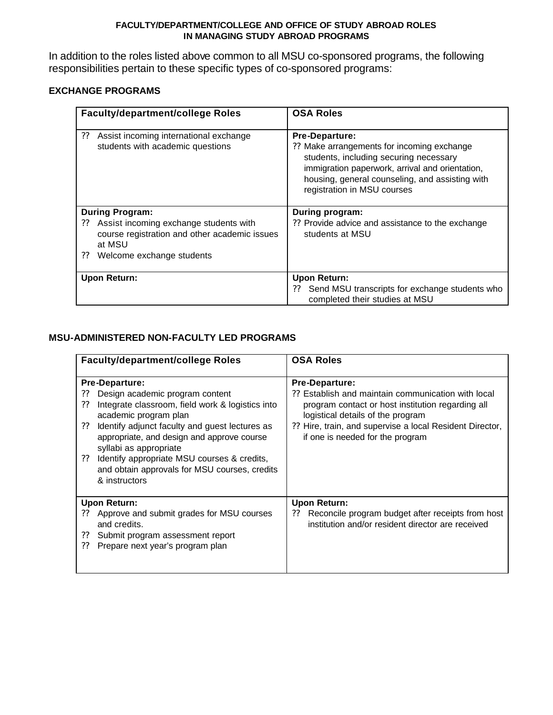#### **FACULTY/DEPARTMENT/COLLEGE AND OFFICE OF STUDY ABROAD ROLES IN MANAGING STUDY ABROAD PROGRAMS**

In addition to the roles listed above common to all MSU co-sponsored programs, the following responsibilities pertain to these specific types of co-sponsored programs:

# **EXCHANGE PROGRAMS**

| <b>Faculty/department/college Roles</b>                                                                 | <b>OSA Roles</b>                                                                                                                                                                                                                                   |
|---------------------------------------------------------------------------------------------------------|----------------------------------------------------------------------------------------------------------------------------------------------------------------------------------------------------------------------------------------------------|
| ??<br>Assist incoming international exchange<br>students with academic questions                        | <b>Pre-Departure:</b><br>?? Make arrangements for incoming exchange<br>students, including securing necessary<br>immigration paperwork, arrival and orientation,<br>housing, general counseling, and assisting with<br>registration in MSU courses |
| <b>During Program:</b>                                                                                  | During program:                                                                                                                                                                                                                                    |
| Assist incoming exchange students with<br>??<br>course registration and other academic issues<br>at MSU | ?? Provide advice and assistance to the exchange<br>students at MSU                                                                                                                                                                                |
| Welcome exchange students<br>??                                                                         |                                                                                                                                                                                                                                                    |
| <b>Upon Return:</b>                                                                                     | <b>Upon Return:</b><br>Send MSU transcripts for exchange students who<br>completed their studies at MSU                                                                                                                                            |

# **MSU-ADMINISTERED NON-FACULTY LED PROGRAMS**

|                      | <b>Faculty/department/college Roles</b>                                                                                                                                                                                                                                                                                                                                          | <b>OSA Roles</b>                                                                                                                                                                                                                                                      |
|----------------------|----------------------------------------------------------------------------------------------------------------------------------------------------------------------------------------------------------------------------------------------------------------------------------------------------------------------------------------------------------------------------------|-----------------------------------------------------------------------------------------------------------------------------------------------------------------------------------------------------------------------------------------------------------------------|
| ??<br>??<br>??<br>?? | <b>Pre-Departure:</b><br>Design academic program content<br>Integrate classroom, field work & logistics into<br>academic program plan<br>Identify adjunct faculty and guest lectures as<br>appropriate, and design and approve course<br>syllabi as appropriate<br>Identify appropriate MSU courses & credits,<br>and obtain approvals for MSU courses, credits<br>& instructors | <b>Pre-Departure:</b><br>?? Establish and maintain communication with local<br>program contact or host institution regarding all<br>logistical details of the program<br>?? Hire, train, and supervise a local Resident Director,<br>if one is needed for the program |
| ??<br>??<br>??       | <b>Upon Return:</b><br>Approve and submit grades for MSU courses<br>and credits.<br>Submit program assessment report<br>Prepare next year's program plan                                                                                                                                                                                                                         | Upon Return:<br>Reconcile program budget after receipts from host<br>??<br>institution and/or resident director are received                                                                                                                                          |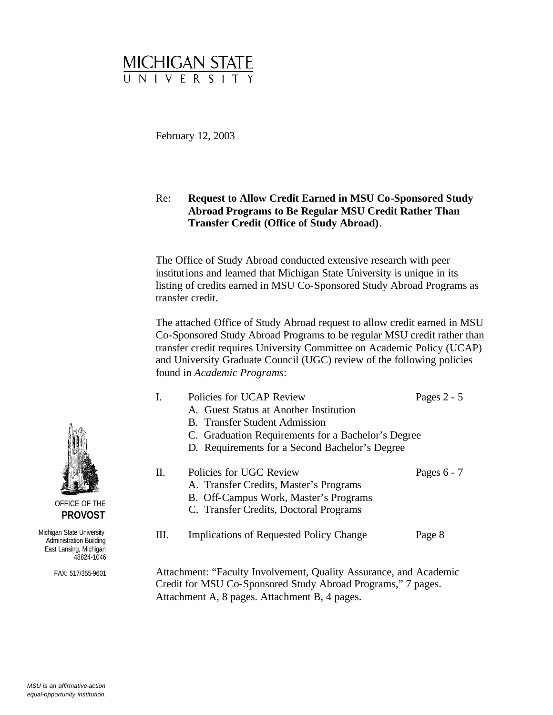# MICHIGAN STATE

February 12, 2003

# Re: **Request to Allow Credit Earned in MSU Co-Sponsored Study Abroad Programs to Be Regular MSU Credit Rather Than Transfer Credit (Office of Study Abroad)**.

The Office of Study Abroad conducted extensive research with peer institutions and learned that Michigan State University is unique in its listing of credits earned in MSU Co-Sponsored Study Abroad Programs as transfer credit.

The attached Office of Study Abroad request to allow credit earned in MSU Co-Sponsored Study Abroad Programs to be regular MSU credit rather than transfer credit requires University Committee on Academic Policy (UCAP) and University Graduate Council (UGC) review of the following policies found in *Academic Programs*:

|                                                                   | Policies for UCAP Review                                                                                   | Pages $2 - 5$ |  |  |  |
|-------------------------------------------------------------------|------------------------------------------------------------------------------------------------------------|---------------|--|--|--|
|                                                                   | A. Guest Status at Another Institution                                                                     |               |  |  |  |
|                                                                   | <b>B.</b> Transfer Student Admission                                                                       |               |  |  |  |
|                                                                   | C. Graduation Requirements for a Bachelor's Degree                                                         |               |  |  |  |
|                                                                   | D. Requirements for a Second Bachelor's Degree                                                             |               |  |  |  |
| П.                                                                | Policies for UGC Review<br>A. Transfer Credits, Master's Programs<br>B. Off-Campus Work, Master's Programs | Pages $6 - 7$ |  |  |  |
|                                                                   | C. Transfer Credits, Doctoral Programs                                                                     |               |  |  |  |
| Ш.                                                                | Implications of Requested Policy Change                                                                    | Page 8        |  |  |  |
| Attachment: "Faculty Involvement, Quality Assurance, and Academic |                                                                                                            |               |  |  |  |

Attachment: "Faculty Involvement, Quality Assurance, and Academic Credit for MSU Co-Sponsored Study Abroad Programs," 7 pages. Attachment A, 8 pages. Attachment B, 4 pages.



OFFICE OF THE  **PROVOST**

Michigan State University Administration Building East Lansing, Michigan 48824-1046

FAX: 517/355-9601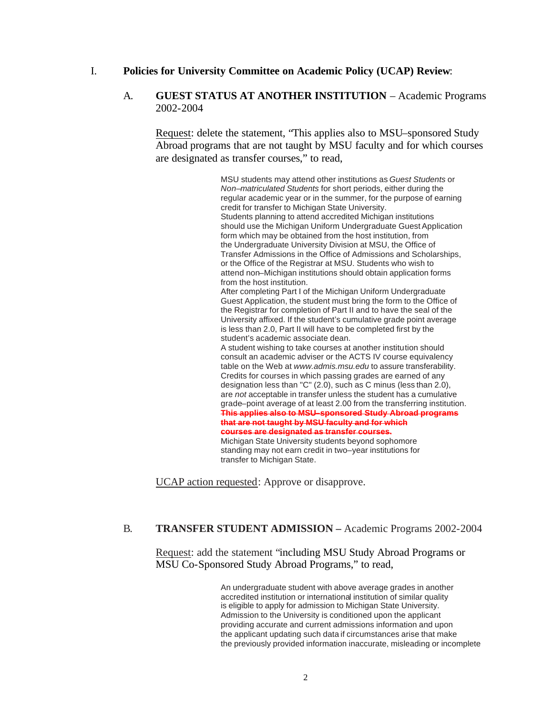### I. **Policies for University Committee on Academic Policy (UCAP) Review**:

#### A. **GUEST STATUS AT ANOTHER INSTITUTION** – Academic Programs 2002-2004

Request: delete the statement, "This applies also to MSU–sponsored Study Abroad programs that are not taught by MSU faculty and for which courses are designated as transfer courses," to read,

> MSU students may attend other institutions as *Guest Students* or *Non–matriculated Students* for short periods, either during the regular academic year or in the summer, for the purpose of earning credit for transfer to Michigan State University. Students planning to attend accredited Michigan institutions should use the Michigan Uniform Undergraduate Guest Application form which may be obtained from the host institution, from the Undergraduate University Division at MSU, the Office of Transfer Admissions in the Office of Admissions and Scholarships, or the Office of the Registrar at MSU. Students who wish to attend non–Michigan institutions should obtain application forms from the host institution. After completing Part I of the Michigan Uniform Undergraduate Guest Application, the student must bring the form to the Office of the Registrar for completion of Part II and to have the seal of the University affixed. If the student's cumulative grade point average is less than 2.0, Part II will have to be completed first by the student's academic associate dean. A student wishing to take courses at another institution should consult an academic adviser or the ACTS IV course equivalency table on the Web at *www.admis.msu.edu* to assure transferability. Credits for courses in which passing grades are earned of any designation less than "C" (2.0), such as C minus (less than 2.0), are *not* acceptable in transfer unless the student has a cumulative grade–point average of at least 2.00 from the transferring institution. **This applies also to MSU–sponsored Study Abroad programs that are not taught by MSU faculty and for which courses are designated as transfer courses.**

Michigan State University students beyond sophomore standing may not earn credit in two–year institutions for transfer to Michigan State.

UCAP action requested: Approve or disapprove.

# B. **TRANSFER STUDENT ADMISSION –** Academic Programs 2002-2004

Request: add the statement "including MSU Study Abroad Programs or MSU Co-Sponsored Study Abroad Programs," to read,

> An undergraduate student with above average grades in another accredited institution or international institution of similar quality is eligible to apply for admission to Michigan State University. Admission to the University is conditioned upon the applicant providing accurate and current admissions information and upon the applicant updating such data if circumstances arise that make the previously provided information inaccurate, misleading or incomplete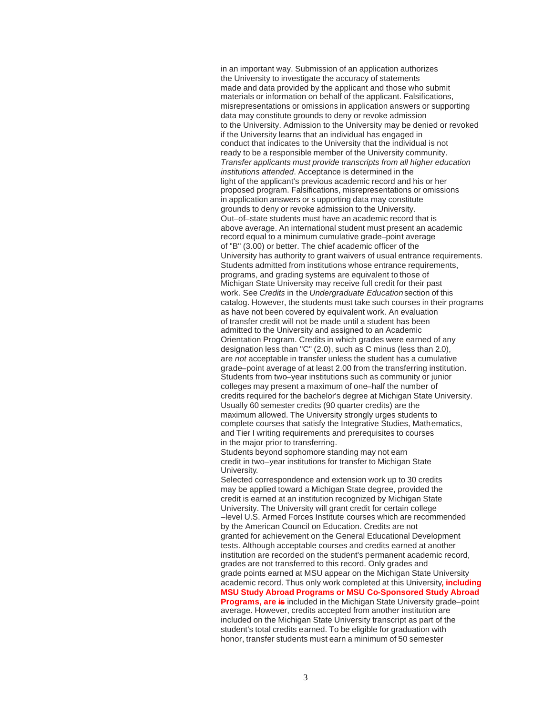in an important way. Submission of an application authorizes the University to investigate the accuracy of statements made and data provided by the applicant and those who submit materials or information on behalf of the applicant. Falsifications, misrepresentations or omissions in application answers or supporting data may constitute grounds to deny or revoke admission to the University. Admission to the University may be denied or revoked if the University learns that an individual has engaged in conduct that indicates to the University that the individual is not ready to be a responsible member of the University community. *Transfer applicants must provide transcripts from all higher education institutions attended*. Acceptance is determined in the light of the applicant's previous academic record and his or her proposed program. Falsifications, misrepresentations or omissions in application answers or s upporting data may constitute grounds to deny or revoke admission to the University. Out–of–state students must have an academic record that is above average. An international student must present an academic record equal to a minimum cumulative grade–point average of "B" (3.00) or better. The chief academic officer of the University has authority to grant waivers of usual entrance requirements. Students admitted from institutions whose entrance requirements, programs, and grading systems are equivalent to those of Michigan State University may receive full credit for their past work. See *Credits* in the *Undergraduate Education* section of this catalog. However, the students must take such courses in their programs as have not been covered by equivalent work. An evaluation of transfer credit will not be made until a student has been admitted to the University and assigned to an Academic Orientation Program. Credits in which grades were earned of any designation less than "C" (2.0), such as C minus (less than 2.0), are *not* acceptable in transfer unless the student has a cumulative grade–point average of at least 2.00 from the transferring institution. Students from two–year institutions such as community or junior colleges may present a maximum of one–half the number of credits required for the bachelor's degree at Michigan State University. Usually 60 semester credits (90 quarter credits) are the maximum allowed. The University strongly urges students to complete courses that satisfy the Integrative Studies, Mathematics, and Tier I writing requirements and prerequisites to courses in the major prior to transferring.

Students beyond sophomore standing may not earn credit in two–year institutions for transfer to Michigan State University.

Selected correspondence and extension work up to 30 credits may be applied toward a Michigan State degree, provided the credit is earned at an institution recognized by Michigan State University. The University will grant credit for certain college –level U.S. Armed Forces Institute courses which are recommended by the American Council on Education. Credits are not granted for achievement on the General Educational Development tests. Although acceptable courses and credits earned at another institution are recorded on the student's permanent academic record, grades are not transferred to this record. Only grades and grade points earned at MSU appear on the Michigan State University academic record. Thus only work completed at this University**, including MSU Study Abroad Programs or MSU Co-Sponsored Study Abroad Programs, are is** included in the Michigan State University grade–point average. However, credits accepted from another institution are included on the Michigan State University transcript as part of the student's total credits earned. To be eligible for graduation with honor, transfer students must earn a minimum of 50 semester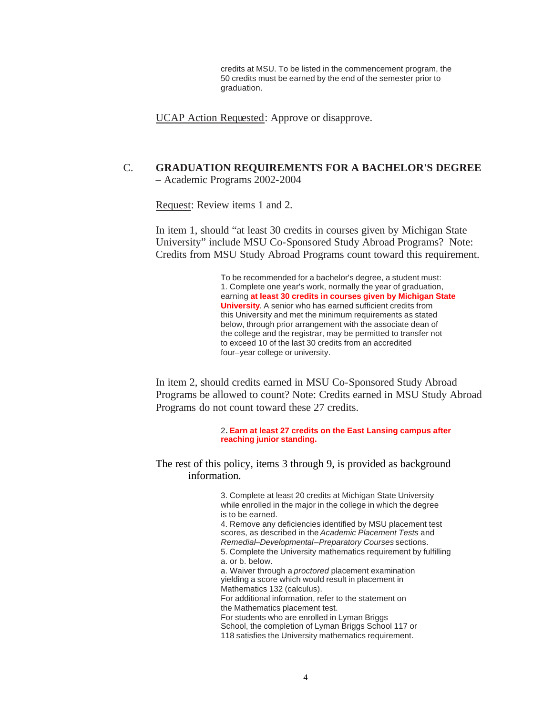credits at MSU. To be listed in the commencement program, the 50 credits must be earned by the end of the semester prior to graduation.

UCAP Action Requested: Approve or disapprove.

## C. **GRADUATION REQUIREMENTS FOR A BACHELOR'S DEGREE** – Academic Programs 2002-2004

Request: Review items 1 and 2.

In item 1, should "at least 30 credits in courses given by Michigan State University" include MSU Co-Sponsored Study Abroad Programs? Note: Credits from MSU Study Abroad Programs count toward this requirement.

> To be recommended for a bachelor's degree, a student must: 1. Complete one year's work, normally the year of graduation, earning **at least 30 credits in courses given by Michigan State University**. A senior who has earned sufficient credits from this University and met the minimum requirements as stated below, through prior arrangement with the associate dean of the college and the registrar, may be permitted to transfer not to exceed 10 of the last 30 credits from an accredited four–year college or university.

In item 2, should credits earned in MSU Co-Sponsored Study Abroad Programs be allowed to count? Note: Credits earned in MSU Study Abroad Programs do not count toward these 27 credits.

#### 2**. Earn at least 27 credits on the East Lansing campus after reaching junior standing.**

The rest of this policy, items 3 through 9, is provided as background information.

> 3. Complete at least 20 credits at Michigan State University while enrolled in the major in the college in which the degree is to be earned.

4. Remove any deficiencies identified by MSU placement test scores, as described in the *Academic Placement Tests* and *Remedial–Developmental–Preparatory Courses* sections. 5. Complete the University mathematics requirement by fulfilling a. or b. below.

a. Waiver through a *proctored* placement examination yielding a score which would result in placement in Mathematics 132 (calculus).

For additional information, refer to the statement on the Mathematics placement test.

For students who are enrolled in Lyman Briggs

School, the completion of Lyman Briggs School 117 or 118 satisfies the University mathematics requirement.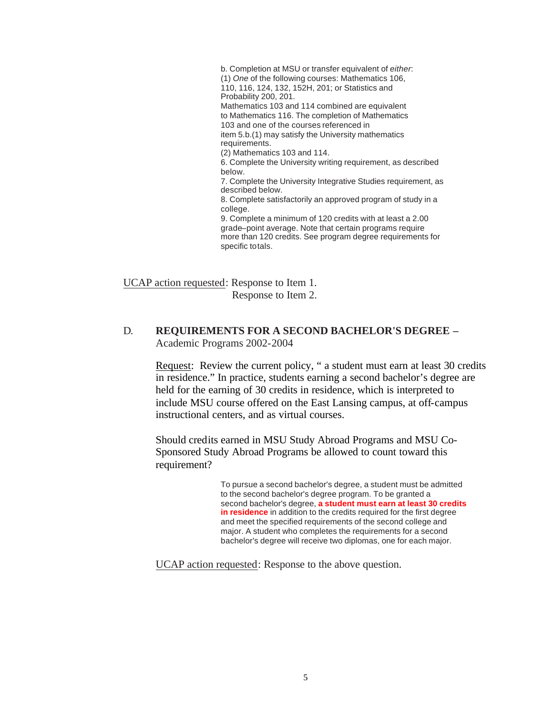b. Completion at MSU or transfer equivalent of *either*: (1) *One* of the following courses: Mathematics 106, 110, 116, 124, 132, 152H, 201; or Statistics and Probability 200, 201. Mathematics 103 and 114 combined are equivalent to Mathematics 116. The completion of Mathematics 103 and one of the courses referenced in item 5.b.(1) may satisfy the University mathematics requirements.  $(2)$  Mathematics 103 and 114. 6. Complete the University writing requirement, as described below. 7. Complete the University Integrative Studies requirement, as described below. 8. Complete satisfactorily an approved program of study in a college. 9. Complete a minimum of 120 credits with at least a 2.00 grade–point average. Note that certain programs require more than 120 credits. See program degree requirements for specific totals.

UCAP action requested: Response to Item 1. Response to Item 2.

## D. **REQUIREMENTS FOR A SECOND BACHELOR'S DEGREE –** Academic Programs 2002-2004

Request: Review the current policy, " a student must earn at least 30 credits in residence." In practice, students earning a second bachelor's degree are held for the earning of 30 credits in residence, which is interpreted to include MSU course offered on the East Lansing campus, at off-campus instructional centers, and as virtual courses.

Should credits earned in MSU Study Abroad Programs and MSU Co-Sponsored Study Abroad Programs be allowed to count toward this requirement?

> To pursue a second bachelor's degree, a student must be admitted to the second bachelor's degree program. To be granted a second bachelor's degree, **a student must earn at least 30 credits in residence** in addition to the credits required for the first degree and meet the specified requirements of the second college and major. A student who completes the requirements for a second bachelor's degree will receive two diplomas, one for each major.

UCAP action requested: Response to the above question.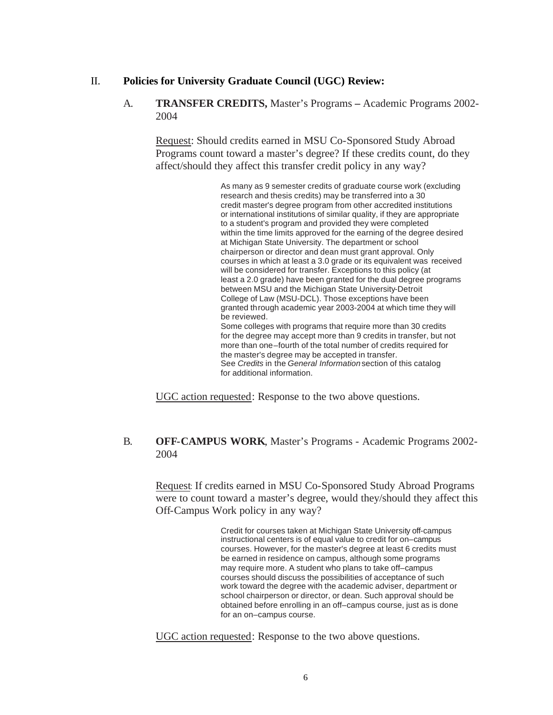#### II. **Policies for University Graduate Council (UGC) Review:**

## A. **TRANSFER CREDITS,** Master's Programs **–** Academic Programs 2002- 2004

Request: Should credits earned in MSU Co-Sponsored Study Abroad Programs count toward a master's degree? If these credits count, do they affect/should they affect this transfer credit policy in any way?

> As many as 9 semester credits of graduate course work (excluding research and thesis credits) may be transferred into a 30 credit master's degree program from other accredited institutions or international institutions of similar quality, if they are appropriate to a student's program and provided they were completed within the time limits approved for the earning of the degree desired at Michigan State University. The department or school chairperson or director and dean must grant approval. Only courses in which at least a 3.0 grade or its equivalent was received will be considered for transfer. Exceptions to this policy (at least a 2.0 grade) have been granted for the dual degree programs between MSU and the Michigan State University-Detroit College of Law (MSU-DCL). Those exceptions have been granted through academic year 2003-2004 at which time they will be reviewed. Some colleges with programs that require more than 30 credits for the degree may accept more than 9 credits in transfer, but not more than one–fourth of the total number of credits required for the master's degree may be accepted in transfer. See *Credits* in the *General Information* section of this catalog for additional information.

UGC action requested: Response to the two above questions.

## B. **OFF-CAMPUS WORK**, Master's Programs - Academic Programs 2002- 2004

Request: If credits earned in MSU Co-Sponsored Study Abroad Programs were to count toward a master's degree, would they/should they affect this Off-Campus Work policy in any way?

> Credit for courses taken at Michigan State University off-campus instructional centers is of equal value to credit for on–campus courses. However, for the master's degree at least 6 credits must be earned in residence on campus, although some programs may require more. A student who plans to take off–campus courses should discuss the possibilities of acceptance of such work toward the degree with the academic adviser, department or school chairperson or director, or dean. Such approval should be obtained before enrolling in an off–campus course, just as is done for an on–campus course.

UGC action requested: Response to the two above questions.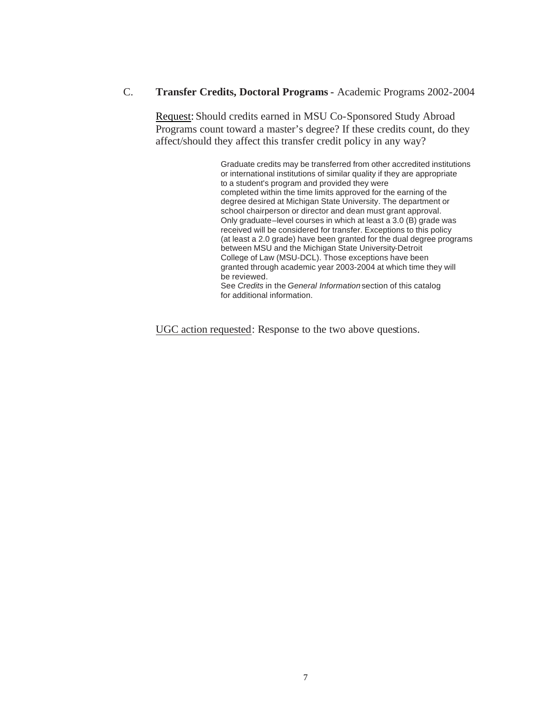### C. **Transfer Credits, Doctoral Programs -** Academic Programs 2002-2004

Request: Should credits earned in MSU Co-Sponsored Study Abroad Programs count toward a master's degree? If these credits count, do they affect/should they affect this transfer credit policy in any way?

> Graduate credits may be transferred from other accredited institutions or international institutions of similar quality if they are appropriate to a student's program and provided they were completed within the time limits approved for the earning of the degree desired at Michigan State University. The department or school chairperson or director and dean must grant approval. Only graduate–level courses in which at least a 3.0 (B) grade was received will be considered for transfer. Exceptions to this policy (at least a 2.0 grade) have been granted for the dual degree programs between MSU and the Michigan State University-Detroit College of Law (MSU-DCL). Those exceptions have been granted through academic year 2003-2004 at which time they will be reviewed. See *Credits* in the *General Information* section of this catalog for additional information.

UGC action requested: Response to the two above questions.